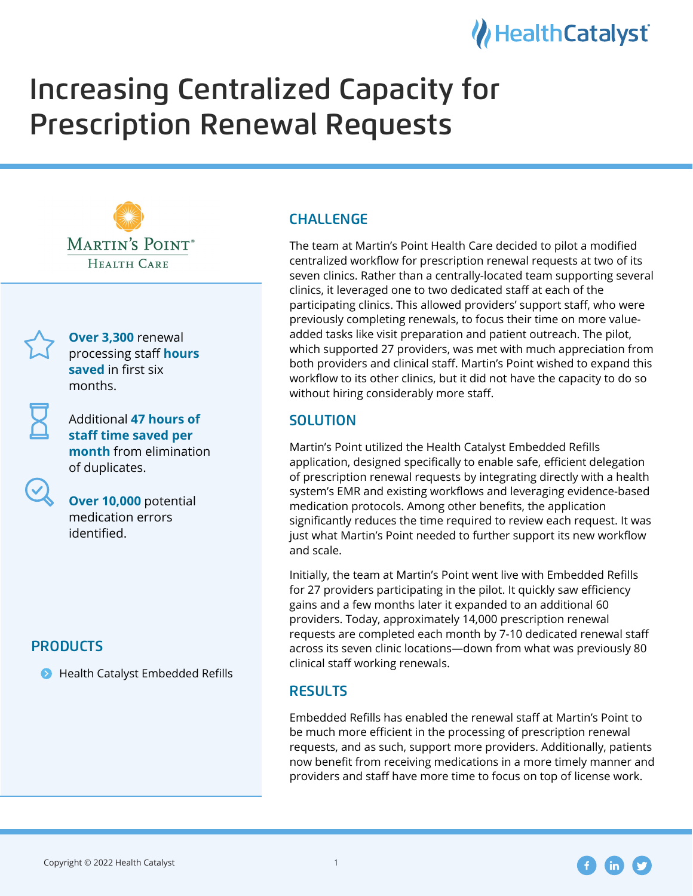# Health Catalyst

# Increasing Centralized Capacity for **Prescription Renewal Requests**





**Over 3,300** renewal processing staff **hours saved** in first six months.

\$dditional **47 hours of staff time saved per month** from elimination of duplicates.

**Over 10,000** potential medication errors identified.

## **PRODUCTS**

 $\bullet$  Health Catalyst Embedded Refills

# **CHALLENGE**

The team at Martin's Point Health Care decided to pilot a modified centralized workflow for prescription renewal requests at two of its seven clinics. Rather than a centrally-located team supporting several clinics, it leveraged one to two dedicated staff at each of the participating clinics. 7his allowed providers' support staff, who were previously completing renewals, to focus their time on more valueadded tasks like visit preparation and patient outreach. 7he pilot, which supported 27 providers, was met with much appreciation from both providers and clinical staff. Martin's Point wished to expand this workflow to its other clinics, but it did not have the capacity to do so without hiring considerably more staff.

#### **SOLUTION**

Martin's Point utilized the Health Catalyst Embedded Refills application, designed specifically to enable safe, efficient delegation of prescription renewal requests by integrating directly with a health system's EMR and existing workflows and leveraging evidence-based medication protocols. Among other benefits, the application significantly reduces the time required to review each request. It was just what Martin's Point needed to further support its new workflow and scale.

Initially, the team at Martin's Point went live with Embedded Refills for 27 providers participating in the pilot. It quickly saw efficiency gains and a few months later it expanded to an additional 60 providers. Today, approximately 14,000 prescription renewal requests are completed each month by 7-10 dedicated renewal staff across its seven clinic locations-down from what was previously 80 clinical staff working renewals.

### **RESULTS**

Embedded Refills has enabled the renewal staff at Martin's Point to be much more efficient in the processing of prescription renewal requests, and as such, support more providers. Additionally, patients now benefit from receiving medications in a more timely manner and providers and staff have more time to focus on top of license work.